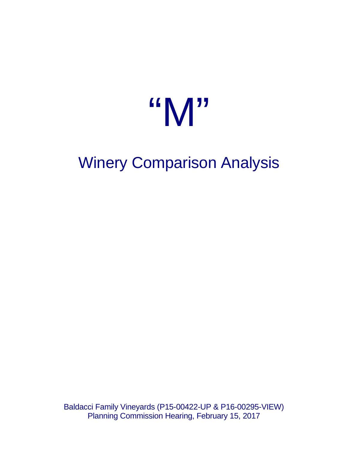# "M"

## Winery Comparison Analysis

Baldacci Family Vineyards (P15-00422-UP & P16-00295-VIEW) Planning Commission Hearing, February 15, 2017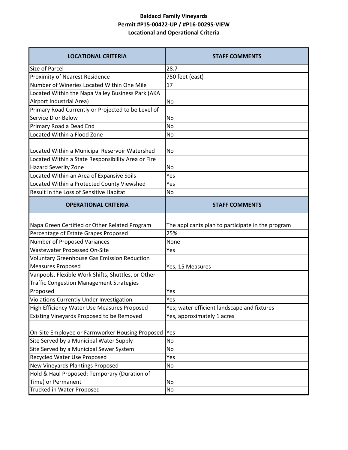### **Baldacci Family Vineyards Permit #P15-00422-UP / #P16-00295-VIEW Locational and Operational Criteria**

| <b>LOCATIONAL CRITERIA</b>                                               | <b>STAFF COMMENTS</b>                             |  |  |  |  |  |  |
|--------------------------------------------------------------------------|---------------------------------------------------|--|--|--|--|--|--|
| <b>Size of Parcel</b>                                                    | 28.7                                              |  |  |  |  |  |  |
| <b>Proximity of Nearest Residence</b>                                    | 750 feet (east)                                   |  |  |  |  |  |  |
| Number of Wineries Located Within One Mile                               | 17                                                |  |  |  |  |  |  |
| Located Within the Napa Valley Business Park (AKA                        |                                                   |  |  |  |  |  |  |
| Airport Industrial Area)                                                 | No                                                |  |  |  |  |  |  |
| Primary Road Currently or Projected to be Level of                       |                                                   |  |  |  |  |  |  |
| Service D or Below                                                       | No                                                |  |  |  |  |  |  |
| Primary Road a Dead End                                                  | <b>No</b>                                         |  |  |  |  |  |  |
| Located Within a Flood Zone                                              | No                                                |  |  |  |  |  |  |
|                                                                          |                                                   |  |  |  |  |  |  |
| Located Within a Municipal Reservoir Watershed                           | No                                                |  |  |  |  |  |  |
| Located Within a State Responsibility Area or Fire                       |                                                   |  |  |  |  |  |  |
| <b>Hazard Severity Zone</b><br>Located Within an Area of Expansive Soils | No<br>Yes                                         |  |  |  |  |  |  |
| Located Within a Protected County Viewshed                               | Yes                                               |  |  |  |  |  |  |
| Result in the Loss of Sensitive Habitat                                  |                                                   |  |  |  |  |  |  |
|                                                                          | No                                                |  |  |  |  |  |  |
| <b>OPERATIONAL CRITERIA</b>                                              | <b>STAFF COMMENTS</b>                             |  |  |  |  |  |  |
| Napa Green Certified or Other Related Program                            | The applicants plan to participate in the program |  |  |  |  |  |  |
| Percentage of Estate Grapes Proposed                                     | 25%                                               |  |  |  |  |  |  |
| Number of Proposed Variances                                             | None                                              |  |  |  |  |  |  |
| <b>Wastewater Processed On-Site</b>                                      | Yes                                               |  |  |  |  |  |  |
| <b>Voluntary Greenhouse Gas Emission Reduction</b>                       |                                                   |  |  |  |  |  |  |
| <b>Measures Proposed</b>                                                 | Yes, 15 Measures                                  |  |  |  |  |  |  |
| Vanpools, Flexible Work Shifts, Shuttles, or Other                       |                                                   |  |  |  |  |  |  |
| <b>Traffic Congestion Management Strategies</b>                          |                                                   |  |  |  |  |  |  |
| Proposed                                                                 | Yes                                               |  |  |  |  |  |  |
| <b>Violations Currently Under Investigation</b>                          | Yes                                               |  |  |  |  |  |  |
| High Efficiency Water Use Measures Proposed                              | Yes; water efficient landscape and fixtures       |  |  |  |  |  |  |
| Existing Vineyards Proposed to be Removed                                | Yes, approximately 1 acres                        |  |  |  |  |  |  |
|                                                                          |                                                   |  |  |  |  |  |  |
| On-Site Employee or Farmworker Housing Proposed                          | Yes                                               |  |  |  |  |  |  |
| Site Served by a Municipal Water Supply                                  | No                                                |  |  |  |  |  |  |
| Site Served by a Municipal Sewer System                                  | No                                                |  |  |  |  |  |  |
| Recycled Water Use Proposed                                              | Yes                                               |  |  |  |  |  |  |
| New Vineyards Plantings Proposed                                         | No                                                |  |  |  |  |  |  |
| Hold & Haul Proposed: Temporary (Duration of                             |                                                   |  |  |  |  |  |  |
| Time) or Permanent                                                       | No                                                |  |  |  |  |  |  |
| Trucked in Water Proposed                                                | No                                                |  |  |  |  |  |  |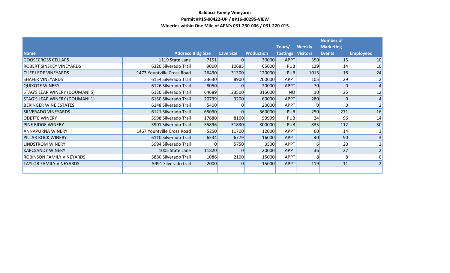#### **Baldacci Family Vineyards Permit #P15-00422-UP / #P16-00295-VIEW Wineries within One Mile of APN's 031-230-006 / 031-220-015**

|                                       |                            |                          |                  |                            |                                    |                 | <b>Number of</b>                  |                  |
|---------------------------------------|----------------------------|--------------------------|------------------|----------------------------|------------------------------------|-----------------|-----------------------------------|------------------|
| <b>Name</b>                           |                            | <b>Address Bldg Size</b> | <b>Cave Size</b> |                            | Tours/<br><b>Tastings Visitors</b> | <b>Weekly</b>   | <b>Marketing</b><br><b>Events</b> | <b>Employees</b> |
| <b>GOOSECROSS CELLARS</b>             | 1119 State Lane            | 7151                     | 0                | <b>Production</b><br>30000 | APPT                               | 350             | 15                                | 10               |
| <b>ROBERT SINSKEY VINEYARDS</b>       | 6320 Silverado Trail       | 9000                     | 10685            | 65000                      | <b>PUB</b>                         | 129             | 14                                | 10               |
| <b>CLIFF LEDE VINEYARDS</b>           | 1473 Yountville Cross Road | 26430                    | 31300            | 120000                     | <b>PUB</b>                         | 1015            | 18                                | 24               |
| <b>SHAFER VINEYARDS</b>               | 6154 Silverado Trail       | 33630                    | 8900             | 200000                     | APPT                               | 105             | 29                                |                  |
| <b>QUIXOTE WINERY</b>                 | 6126 Silverado Trail       | 8050                     | $\Omega$         | 20000                      | APPT                               | 70              | 0                                 |                  |
| <b>STAG'S LEAP WINERY (DOUMANI 5)</b> | 6130 Silverado Trail       | 64689                    | 23500            | 315000                     | <b>NO</b>                          | 10 <sup>1</sup> | 25                                | 12               |
| <b>STAG'S LEAP WINERY (DOUMANI 1)</b> | 6150 Silverado Trail       | 20739                    | 3200             | 60000                      | APPT                               | 280             | 0                                 |                  |
| <b>BERINGER WINE ESTATES</b>          | 6148 Silverado Trail       | 5400                     | $\Omega$         | 20000                      | APPT                               | $\Omega$        |                                   |                  |
| <b>SILVERADO VINEYARDS</b>            | 6121 Silverado Trail       | 65030                    | $\Omega$         | 360000                     | <b>PUB</b>                         | 250             | 271                               | 16               |
| <b>ODETTE WINERY</b>                  | 5998 Silverado Trail       | 17680                    | 8160             | 59999                      | <b>PUB</b>                         | 24              | 96                                | 14               |
| <b>PINE RIDGE WINERY</b>              | 5901 Silverado Trail       | 35896                    | 31830            | 300000                     | <b>PUB</b>                         | 833             | 112                               | 30               |
| <b>ANNAPURNA WINERY</b>               | 1467 Yountville Cross Road | 5250                     | 11700            | 12000                      | <b>APPT</b>                        | 60              | 14                                |                  |
| <b>PILLAR ROCK WINERY</b>             | 6110 Silverado Trail       | 6534                     | 6779             | 16000                      | APPT                               | 40              | 90                                |                  |
| LINDSTROM WINERY                      | 5994 Silverado Trail       | ი                        | 5750             | 3500                       | APPT                               | 6               | 20                                |                  |
| <b>KAPCSANDY WINERY</b>               | 1005 State Lane            | 11820                    | $\Omega$         | 20000                      | APPT                               | 36              | 27                                |                  |
| <b>ROBINSON FAMILY VINEYARDS</b>      | 5880 Silverado Trail       | 1086                     | 2100             | 15000                      | APPT                               | 8               | 8                                 |                  |
| <b>TAYLOR FAMILY VINEYARDS</b>        | 5991 Silverado trail       | 2000                     | $\Omega$         | 15000                      | APPT                               | 119             | 11                                |                  |
|                                       |                            |                          |                  |                            |                                    |                 |                                   |                  |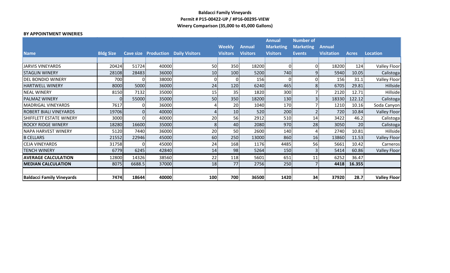#### **Baldacci Family Vineyards Permit # P15-00422-UP / #P16-00295-VIEW Winery Comparison (35,000 to 45,000 Gallons)**

#### **BY APPOINTMENT WINERIES**

|                                  |                  |        |       |                                            |                 |                 | <b>Annual</b>    | <b>Number of</b> |                   |              |                     |
|----------------------------------|------------------|--------|-------|--------------------------------------------|-----------------|-----------------|------------------|------------------|-------------------|--------------|---------------------|
|                                  |                  |        |       |                                            | <b>Weekly</b>   | <b>Annual</b>   | <b>Marketing</b> | <b>Marketing</b> | <b>Annual</b>     |              |                     |
| <b>Name</b>                      | <b>Bldg Size</b> |        |       | <b>Cave size Production Daily Visitors</b> | <b>Visitors</b> | <b>Visitors</b> | <b>Visitors</b>  | <b>Events</b>    | <b>Visitation</b> | <b>Acres</b> | <b>Location</b>     |
|                                  |                  |        |       |                                            |                 |                 |                  |                  |                   |              |                     |
| <b>JARVIS VINEYARDS</b>          | 20424            | 51724  | 40000 | 50                                         | 350             | 18200           | $\Omega$         |                  | 18200             | 124          | <b>Valley Floor</b> |
| <b>STAGLIN WINERY</b>            | 28108            | 28483  | 36000 | 10                                         | 100             | 5200            | 740              | 9                | 5940              | 10.05        | Calistoga           |
| <b>DEL BONDIO WINERY</b>         | 700              |        | 38000 | 0                                          | ΟI              | 156             | $\Omega$         |                  | 156               | 31.1         | <b>Valley Floor</b> |
| <b>HARTWELL WINERY</b>           | 8000             | 5000   | 36000 | 24                                         | 120             | 6240            | 465              | 8                | 6705              | 29.81        | Hillside            |
| <b>NEAL WINERY</b>               | 8150             | 7132   | 35000 | 15                                         | 35              | 1820            | 300              |                  | 2120              | 12.71        | Hillside            |
| <b>PALMAZ WINERY</b>             | $\Omega$         | 55000  | 35000 | 50                                         | 350             | 18200           | 130              |                  | 18330             | 122.12       | Calistoga           |
| <b>MADRIGAL VINEYARDS</b>        | 7617             |        | 36000 |                                            | 20              | 1040            | 170              |                  | 1210              | 10.16        | Soda Canyon         |
| <b>ROBERT BIALI VINEYARDS</b>    | 19706            |        | 40000 | 4                                          | 10 <sup>1</sup> | 520             | 200              |                  | 720               | 10.84        | <b>Valley Floor</b> |
| <b>SHIFFLETT ESTATE WINERY</b>   | 3000             |        | 40000 | 20                                         | 56              | 2912            | 510              | 14               | 3422              | 46.2         | Calistoga           |
| <b>ROCKY RIDGE WINERY</b>        | 18280            | 16600  | 35000 | 8                                          | 40              | 2080            | 970              | 28               | 3050              | 20           | Calistoga           |
| NAPA HARVEST WINERY              | 5120             | 7440   | 36000 | 20                                         | 50              | 2600            | 140              |                  | 2740              | 10.81        | Hillside            |
| <b>B CELLARS</b>                 | 21552            | 22946  | 45000 | 60                                         | 250             | 13000           | 860              | 16               | 13860             | 11.53        | <b>Valley Floor</b> |
| <b>CEJA VINEYARDS</b>            | 31758            |        | 45000 | 24                                         | 168             | 1176            | 4485             | 56               | 5661              | 10.42        | Carneros            |
| <b>TENCH WINERY</b>              | 6779             | 6245   | 42840 | 14                                         | 98 <sub>l</sub> | 5264            | 150              |                  | 5414              | 60.86        | <b>Valley Floor</b> |
| <b>AVERAGE CALCULATION</b>       | 12800            | 14326  | 38560 | 22                                         | 118             | 5601            | 651              | 11               | 6252              | 36.47        |                     |
| <b>MEDIAN CALCULATION</b>        | 8075             | 6688.5 | 37000 | 18                                         | 77              | 2756            | 250              |                  | 4418              | 16.355       |                     |
|                                  |                  |        |       |                                            |                 |                 |                  |                  |                   |              |                     |
| <b>Baldacci Family Vineyards</b> | 7474             | 18644  | 40000 | 100                                        | 700             | 36500           | 1420             | 34               | 37920             | 28.7         | <b>Valley Floor</b> |